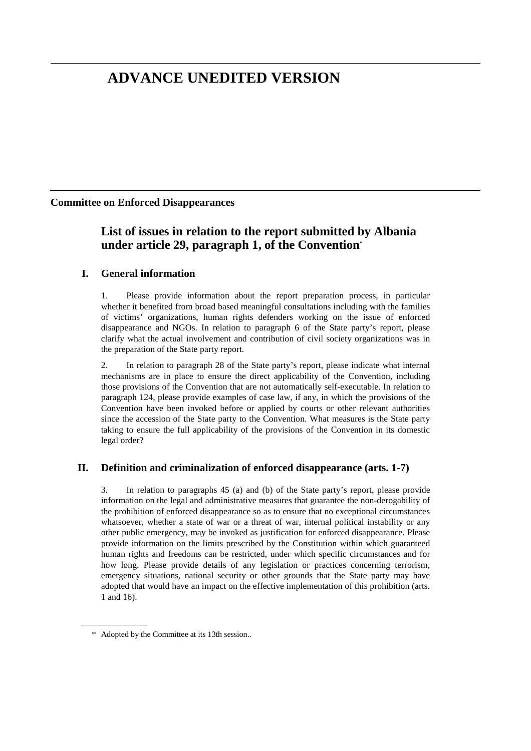# **ADVANCE UNEDITED VERSION**

### **Committee on Enforced Disappearances**

# **List of issues in relation to the report submitted by Albania under article 29, paragraph 1, of the Convention\***

# **I. General information**

1. Please provide information about the report preparation process, in particular whether it benefited from broad based meaningful consultations including with the families of victims' organizations, human rights defenders working on the issue of enforced disappearance and NGOs. In relation to paragraph 6 of the State party's report, please clarify what the actual involvement and contribution of civil society organizations was in the preparation of the State party report.

2. In relation to paragraph 28 of the State party's report, please indicate what internal mechanisms are in place to ensure the direct applicability of the Convention, including those provisions of the Convention that are not automatically self-executable. In relation to paragraph 124, please provide examples of case law, if any, in which the provisions of the Convention have been invoked before or applied by courts or other relevant authorities since the accession of the State party to the Convention. What measures is the State party taking to ensure the full applicability of the provisions of the Convention in its domestic legal order?

#### **II. Definition and criminalization of enforced disappearance (arts. 1-7)**

3. In relation to paragraphs 45 (a) and (b) of the State party's report, please provide information on the legal and administrative measures that guarantee the non-derogability of the prohibition of enforced disappearance so as to ensure that no exceptional circumstances whatsoever, whether a state of war or a threat of war, internal political instability or any other public emergency, may be invoked as justification for enforced disappearance. Please provide information on the limits prescribed by the Constitution within which guaranteed human rights and freedoms can be restricted, under which specific circumstances and for how long. Please provide details of any legislation or practices concerning terrorism, emergency situations, national security or other grounds that the State party may have adopted that would have an impact on the effective implementation of this prohibition (arts. 1 and 16).

 $\overline{a}$ 

 <sup>\*</sup> Adopted by the Committee at its 13th session..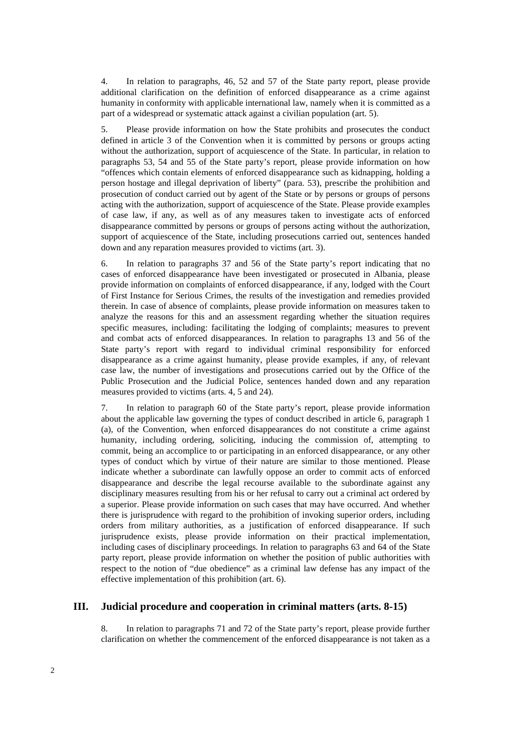4. In relation to paragraphs, 46, 52 and 57 of the State party report, please provide additional clarification on the definition of enforced disappearance as a crime against humanity in conformity with applicable international law, namely when it is committed as a part of a widespread or systematic attack against a civilian population (art. 5).

5. Please provide information on how the State prohibits and prosecutes the conduct defined in article 3 of the Convention when it is committed by persons or groups acting without the authorization, support of acquiescence of the State. In particular, in relation to paragraphs 53, 54 and 55 of the State party's report, please provide information on how "offences which contain elements of enforced disappearance such as kidnapping, holding a person hostage and illegal deprivation of liberty" (para. 53), prescribe the prohibition and prosecution of conduct carried out by agent of the State or by persons or groups of persons acting with the authorization, support of acquiescence of the State. Please provide examples of case law, if any, as well as of any measures taken to investigate acts of enforced disappearance committed by persons or groups of persons acting without the authorization, support of acquiescence of the State, including prosecutions carried out, sentences handed down and any reparation measures provided to victims (art. 3).

6. In relation to paragraphs 37 and 56 of the State party's report indicating that no cases of enforced disappearance have been investigated or prosecuted in Albania, please provide information on complaints of enforced disappearance, if any, lodged with the Court of First Instance for Serious Crimes, the results of the investigation and remedies provided therein. In case of absence of complaints, please provide information on measures taken to analyze the reasons for this and an assessment regarding whether the situation requires specific measures, including: facilitating the lodging of complaints; measures to prevent and combat acts of enforced disappearances. In relation to paragraphs 13 and 56 of the State party's report with regard to individual criminal responsibility for enforced disappearance as a crime against humanity, please provide examples, if any, of relevant case law, the number of investigations and prosecutions carried out by the Office of the Public Prosecution and the Judicial Police, sentences handed down and any reparation measures provided to victims (arts. 4, 5 and 24).

7. In relation to paragraph 60 of the State party's report, please provide information about the applicable law governing the types of conduct described in article 6, paragraph 1 (a), of the Convention, when enforced disappearances do not constitute a crime against humanity, including ordering, soliciting, inducing the commission of, attempting to commit, being an accomplice to or participating in an enforced disappearance, or any other types of conduct which by virtue of their nature are similar to those mentioned. Please indicate whether a subordinate can lawfully oppose an order to commit acts of enforced disappearance and describe the legal recourse available to the subordinate against any disciplinary measures resulting from his or her refusal to carry out a criminal act ordered by a superior. Please provide information on such cases that may have occurred. And whether there is jurisprudence with regard to the prohibition of invoking superior orders, including orders from military authorities, as a justification of enforced disappearance. If such jurisprudence exists, please provide information on their practical implementation, including cases of disciplinary proceedings. In relation to paragraphs 63 and 64 of the State party report, please provide information on whether the position of public authorities with respect to the notion of "due obedience" as a criminal law defense has any impact of the effective implementation of this prohibition (art. 6).

#### **III. Judicial procedure and cooperation in criminal matters (arts. 8-15)**

8. In relation to paragraphs 71 and 72 of the State party's report, please provide further clarification on whether the commencement of the enforced disappearance is not taken as a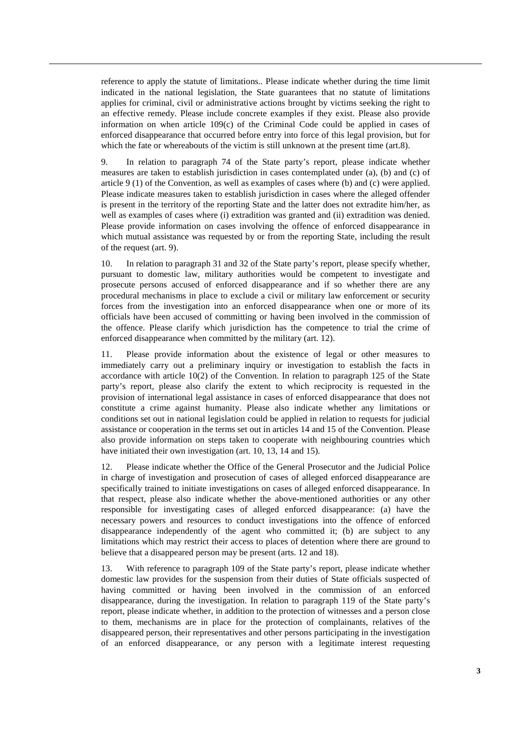reference to apply the statute of limitations.. Please indicate whether during the time limit indicated in the national legislation, the State guarantees that no statute of limitations applies for criminal, civil or administrative actions brought by victims seeking the right to an effective remedy. Please include concrete examples if they exist. Please also provide information on when article  $109(c)$  of the Criminal Code could be applied in cases of enforced disappearance that occurred before entry into force of this legal provision, but for which the fate or whereabouts of the victim is still unknown at the present time (art.8).

9. In relation to paragraph 74 of the State party's report, please indicate whether measures are taken to establish jurisdiction in cases contemplated under (a), (b) and (c) of article 9 (1) of the Convention, as well as examples of cases where (b) and (c) were applied. Please indicate measures taken to establish jurisdiction in cases where the alleged offender is present in the territory of the reporting State and the latter does not extradite him/her, as well as examples of cases where (i) extradition was granted and (ii) extradition was denied. Please provide information on cases involving the offence of enforced disappearance in which mutual assistance was requested by or from the reporting State, including the result of the request (art. 9).

10. In relation to paragraph 31 and 32 of the State party's report, please specify whether, pursuant to domestic law, military authorities would be competent to investigate and prosecute persons accused of enforced disappearance and if so whether there are any procedural mechanisms in place to exclude a civil or military law enforcement or security forces from the investigation into an enforced disappearance when one or more of its officials have been accused of committing or having been involved in the commission of the offence. Please clarify which jurisdiction has the competence to trial the crime of enforced disappearance when committed by the military (art. 12).

11. Please provide information about the existence of legal or other measures to immediately carry out a preliminary inquiry or investigation to establish the facts in accordance with article 10(2) of the Convention. In relation to paragraph 125 of the State party's report, please also clarify the extent to which reciprocity is requested in the provision of international legal assistance in cases of enforced disappearance that does not constitute a crime against humanity. Please also indicate whether any limitations or conditions set out in national legislation could be applied in relation to requests for judicial assistance or cooperation in the terms set out in articles 14 and 15 of the Convention. Please also provide information on steps taken to cooperate with neighbouring countries which have initiated their own investigation (art. 10, 13, 14 and 15).

12. Please indicate whether the Office of the General Prosecutor and the Judicial Police in charge of investigation and prosecution of cases of alleged enforced disappearance are specifically trained to initiate investigations on cases of alleged enforced disappearance. In that respect, please also indicate whether the above-mentioned authorities or any other responsible for investigating cases of alleged enforced disappearance: (a) have the necessary powers and resources to conduct investigations into the offence of enforced disappearance independently of the agent who committed it; (b) are subject to any limitations which may restrict their access to places of detention where there are ground to believe that a disappeared person may be present (arts. 12 and 18).

13. With reference to paragraph 109 of the State party's report, please indicate whether domestic law provides for the suspension from their duties of State officials suspected of having committed or having been involved in the commission of an enforced disappearance, during the investigation. In relation to paragraph 119 of the State party's report, please indicate whether, in addition to the protection of witnesses and a person close to them, mechanisms are in place for the protection of complainants, relatives of the disappeared person, their representatives and other persons participating in the investigation of an enforced disappearance, or any person with a legitimate interest requesting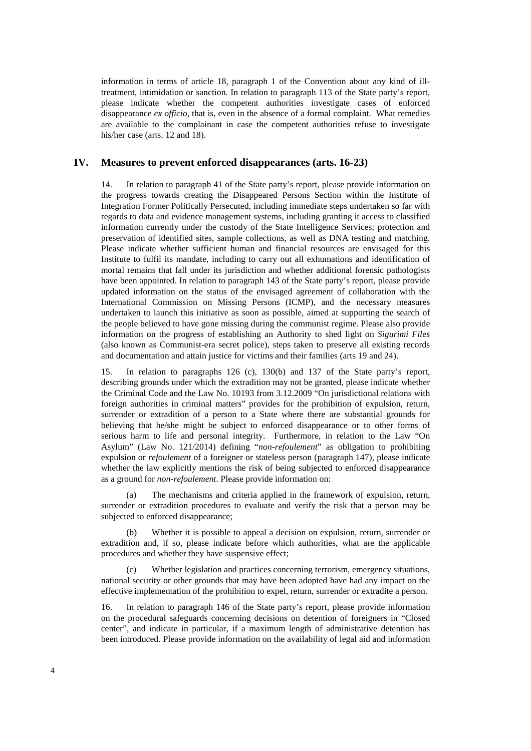information in terms of article 18, paragraph 1 of the Convention about any kind of illtreatment, intimidation or sanction. In relation to paragraph 113 of the State party's report, please indicate whether the competent authorities investigate cases of enforced disappearance *ex officio*, that is, even in the absence of a formal complaint. What remedies are available to the complainant in case the competent authorities refuse to investigate his/her case (arts. 12 and 18).

## **IV. Measures to prevent enforced disappearances (arts. 16-23)**

14. In relation to paragraph 41 of the State party's report, please provide information on the progress towards creating the Disappeared Persons Section within the Institute of Integration Former Politically Persecuted, including immediate steps undertaken so far with regards to data and evidence management systems, including granting it access to classified information currently under the custody of the State Intelligence Services; protection and preservation of identified sites, sample collections, as well as DNA testing and matching. Please indicate whether sufficient human and financial resources are envisaged for this Institute to fulfil its mandate, including to carry out all exhumations and identification of mortal remains that fall under its jurisdiction and whether additional forensic pathologists have been appointed. In relation to paragraph 143 of the State party's report, please provide updated information on the status of the envisaged agreement of collaboration with the International Commission on Missing Persons (ICMP), and the necessary measures undertaken to launch this initiative as soon as possible, aimed at supporting the search of the people believed to have gone missing during the communist regime. Please also provide information on the progress of establishing an Authority to shed light on *Sigurimi Files* (also known as Communist-era secret police), steps taken to preserve all existing records and documentation and attain justice for victims and their families (arts 19 and 24).

15. In relation to paragraphs 126 (c), 130(b) and 137 of the State party's report, describing grounds under which the extradition may not be granted, please indicate whether the Criminal Code and the Law No. 10193 from 3.12.2009 "On jurisdictional relations with foreign authorities in criminal matters" provides for the prohibition of expulsion, return, surrender or extradition of a person to a State where there are substantial grounds for believing that he/she might be subject to enforced disappearance or to other forms of serious harm to life and personal integrity. Furthermore, in relation to the Law "On Asylum" (Law No. 121/2014) defining "*non-refoulement*" as obligation to prohibiting expulsion or *refoulement* of a foreigner or stateless person (paragraph 147), please indicate whether the law explicitly mentions the risk of being subjected to enforced disappearance as a ground for *non-refoulement*. Please provide information on:

 (a) The mechanisms and criteria applied in the framework of expulsion, return, surrender or extradition procedures to evaluate and verify the risk that a person may be subjected to enforced disappearance;

 (b) Whether it is possible to appeal a decision on expulsion, return, surrender or extradition and, if so, please indicate before which authorities, what are the applicable procedures and whether they have suspensive effect;

Whether legislation and practices concerning terrorism, emergency situations, national security or other grounds that may have been adopted have had any impact on the effective implementation of the prohibition to expel, return, surrender or extradite a person.

16. In relation to paragraph 146 of the State party's report, please provide information on the procedural safeguards concerning decisions on detention of foreigners in "Closed center", and indicate in particular, if a maximum length of administrative detention has been introduced. Please provide information on the availability of legal aid and information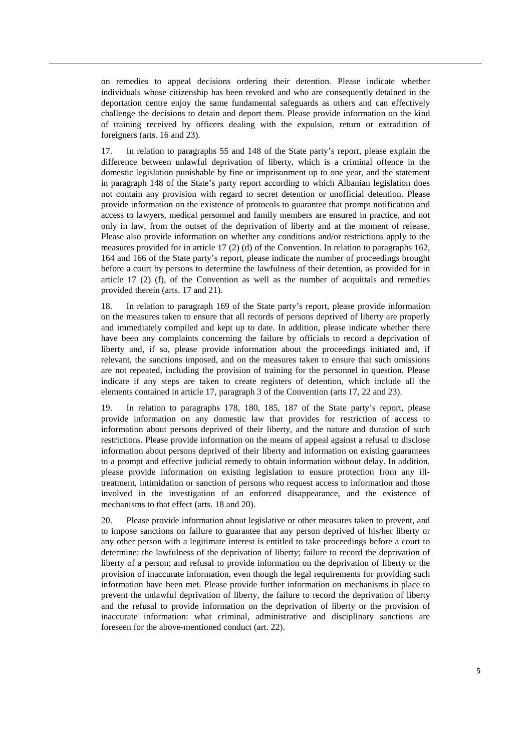on remedies to appeal decisions ordering their detention. Please indicate whether individuals whose citizenship has been revoked and who are consequently detained in the deportation centre enjoy the same fundamental safeguards as others and can effectively challenge the decisions to detain and deport them. Please provide information on the kind of training received by officers dealing with the expulsion, return or extradition of foreigners (arts. 16 and 23).

17. In relation to paragraphs 55 and 148 of the State party's report, please explain the difference between unlawful deprivation of liberty, which is a criminal offence in the domestic legislation punishable by fine or imprisonment up to one year, and the statement in paragraph 148 of the State's party report according to which Albanian legislation does not contain any provision with regard to secret detention or unofficial detention. Please provide information on the existence of protocols to guarantee that prompt notification and access to lawyers, medical personnel and family members are ensured in practice, and not only in law, from the outset of the deprivation of liberty and at the moment of release. Please also provide information on whether any conditions and/or restrictions apply to the measures provided for in article 17 (2) (d) of the Convention. In relation to paragraphs 162, 164 and 166 of the State party's report, please indicate the number of proceedings brought before a court by persons to determine the lawfulness of their detention, as provided for in article  $17(2)$  (f), of the Convention as well as the number of acquittals and remedies provided therein (arts. 17 and 21).

18. In relation to paragraph 169 of the State party's report, please provide information on the measures taken to ensure that all records of persons deprived of liberty are properly and immediately compiled and kept up to date. In addition, please indicate whether there have been any complaints concerning the failure by officials to record a deprivation of liberty and, if so, please provide information about the proceedings initiated and, if relevant, the sanctions imposed, and on the measures taken to ensure that such omissions are not repeated, including the provision of training for the personnel in question. Please indicate if any steps are taken to create registers of detention, which include all the elements contained in article 17, paragraph 3 of the Convention (arts 17, 22 and 23).

19. In relation to paragraphs 178, 180, 185, 187 of the State party's report, please provide information on any domestic law that provides for restriction of access to information about persons deprived of their liberty, and the nature and duration of such restrictions. Please provide information on the means of appeal against a refusal to disclose information about persons deprived of their liberty and information on existing guarantees to a prompt and effective judicial remedy to obtain information without delay. In addition, please provide information on existing legislation to ensure protection from any illtreatment, intimidation or sanction of persons who request access to information and those involved in the investigation of an enforced disappearance, and the existence of mechanisms to that effect (arts. 18 and 20).

20. Please provide information about legislative or other measures taken to prevent, and to impose sanctions on failure to guarantee that any person deprived of his/her liberty or any other person with a legitimate interest is entitled to take proceedings before a court to determine: the lawfulness of the deprivation of liberty; failure to record the deprivation of liberty of a person; and refusal to provide information on the deprivation of liberty or the provision of inaccurate information, even though the legal requirements for providing such information have been met. Please provide further information on mechanisms in place to prevent the unlawful deprivation of liberty, the failure to record the deprivation of liberty and the refusal to provide information on the deprivation of liberty or the provision of inaccurate information: what criminal, administrative and disciplinary sanctions are foreseen for the above-mentioned conduct (art. 22).